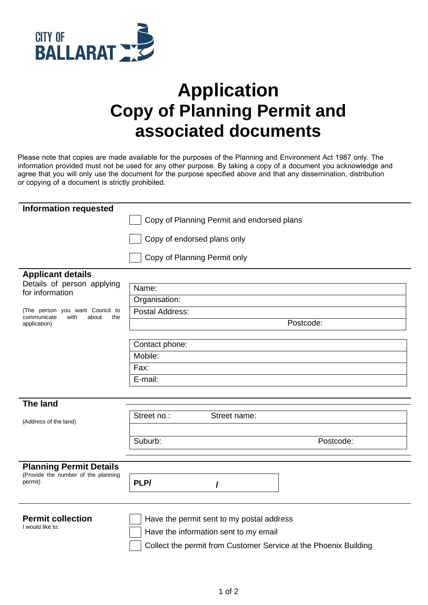

## **Application Copy of Planning Permit and associated documents**

Please note that copies are made available for the purposes of the Planning and Environment Act 1987 only. The information provided must not be used for any other purpose. By taking a copy of a document you acknowledge and agree that you will only use the document for the purpose specified above and that any dissemination, distribution or copying of a document is strictly prohibited.

| <b>Information requested</b>                                                           | Copy of Planning Permit and endorsed plans |           |  |
|----------------------------------------------------------------------------------------|--------------------------------------------|-----------|--|
|                                                                                        |                                            |           |  |
|                                                                                        | Copy of endorsed plans only                |           |  |
|                                                                                        | Copy of Planning Permit only               |           |  |
| <b>Applicant details</b>                                                               |                                            |           |  |
| Details of person applying<br>for information                                          | Name:                                      |           |  |
|                                                                                        | Organisation:                              |           |  |
| (The person you want Council to<br>with<br>about<br>the<br>communicate<br>application) | Postal Address:                            |           |  |
|                                                                                        |                                            | Postcode: |  |
|                                                                                        |                                            |           |  |
|                                                                                        | Contact phone:                             |           |  |
|                                                                                        | Mobile:                                    |           |  |
|                                                                                        | Fax:                                       |           |  |
|                                                                                        | E-mail:                                    |           |  |
|                                                                                        |                                            |           |  |
| <b>The land</b>                                                                        |                                            |           |  |
| (Address of the land)                                                                  | Street no.:<br>Street name:                |           |  |
|                                                                                        |                                            |           |  |
|                                                                                        | Suburb:                                    | Postcode: |  |
|                                                                                        |                                            |           |  |
| <b>Planning Permit Details</b>                                                         |                                            |           |  |
| (Provide the number of the planning<br>permit)                                         | PLP/                                       |           |  |
|                                                                                        |                                            |           |  |
|                                                                                        |                                            |           |  |
| <b>Permit collection</b><br>I would like to:                                           | Have the permit sent to my postal address  |           |  |
|                                                                                        | Have the information sent to my email      |           |  |

Collect the permit from Customer Service at the Phoenix Building